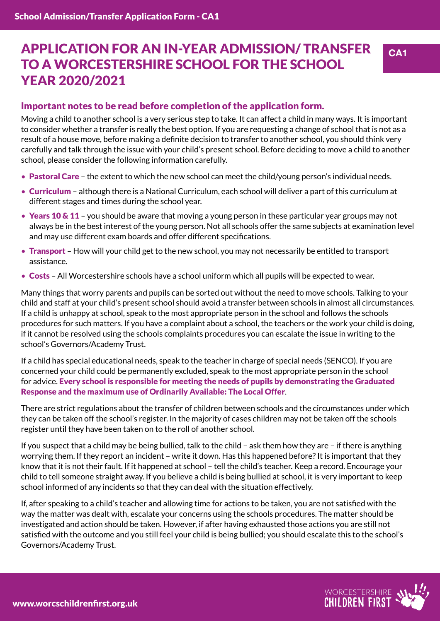# APPLICATION FOR AN IN-YEAR ADMISSION/ TRANSFER TO A WORCESTERSHIRE SCHOOL FOR THE SCHOOL YEAR 2020/2021

#### Important notes to be read before completion of the application form.

Moving a child to another school is a very serious step to take. It can affect a child in many ways. It is important to consider whether a transfer is really the best option. If you are requesting a change of school that is not as a result of a house move, before making a definite decision to transfer to another school, you should think very carefully and talk through the issue with your child's present school. Before deciding to move a child to another school, please consider the following information carefully.

- Pastoral Care the extent to which the new school can meet the child/young person's individual needs.
- Curriculum although there is a National Curriculum, each school will deliver a part of this curriculum at different stages and times during the school year.
- Years 10  $\&$  11 you should be aware that moving a young person in these particular year groups may not always be in the best interest of the young person. Not all schools offer the same subjects at examination level and may use different exam boards and offer different specifications.
- Transport How will your child get to the new school, you may not necessarily be entitled to transport assistance.
- Costs All Worcestershire schools have a school uniform which all pupils will be expected to wear.

Many things that worry parents and pupils can be sorted out without the need to move schools. Talking to your child and staff at your child's present school should avoid a transfer between schools in almost all circumstances. If a child is unhappy at school, speak to the most appropriate person in the school and follows the schools procedures for such matters. If you have a complaint about a school, the teachers or the work your child is doing, if it cannot be resolved using the schools complaints procedures you can escalate the issue in writing to the school's Governors/Academy Trust.

If a child has special educational needs, speak to the teacher in charge of special needs (SENCO). If you are concerned your child could be permanently excluded, speak to the most appropriate person in the school for advice. Every school is responsible for meeting the needs of pupils by demonstrating the Graduated Response and the maximum use of Ordinarily Available: The Local Offer.

There are strict regulations about the transfer of children between schools and the circumstances under which they can be taken off the school's register. In the majority of cases children may not be taken off the schools register until they have been taken on to the roll of another school.

If you suspect that a child may be being bullied, talk to the child – ask them how they are – if there is anything worrying them. If they report an incident – write it down. Has this happened before? It is important that they know that it is not their fault. If it happened at school – tell the child's teacher. Keep a record. Encourage your child to tell someone straight away. If you believe a child is being bullied at school, it is very important to keep school informed of any incidents so that they can deal with the situation effectively.

If, after speaking to a child's teacher and allowing time for actions to be taken, you are not satisfied with the way the matter was dealt with, escalate your concerns using the schools procedures. The matter should be investigated and action should be taken. However, if after having exhausted those actions you are still not satisfied with the outcome and you still feel your child is being bullied; you should escalate this to the school's Governors/Academy Trust.

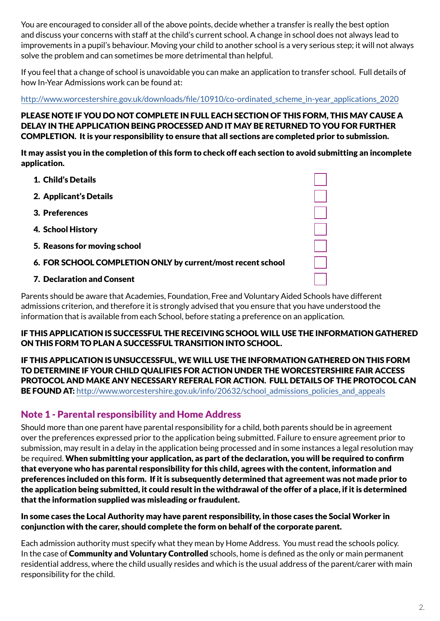You are encouraged to consider all of the above points, decide whether a transfer is really the best option and discuss your concerns with staff at the child's current school. A change in school does not always lead to improvements in a pupil's behaviour. Moving your child to another school is a very serious step; it will not always solve the problem and can sometimes be more detrimental than helpful.

If you feel that a change of school is unavoidable you can make an application to transfer school. Full details of how In-Year Admissions work can be found at:

[http://www.worcestershire.gov.uk/downloads/file/10910/co-ordinated\\_scheme\\_in-year\\_applications\\_2020](http://www.worcestershire.gov.uk/downloads/file/10910/co-ordinated_scheme_in-year_applications_2020)

PLEASE NOTE IF YOU DO NOT COMPLETE IN FULL EACH SECTION OF THIS FORM, THIS MAY CAUSE A DELAY IN THE APPLICATION BEING PROCESSED AND IT MAY BE RETURNED TO YOU FOR FURTHER COMPLETION. It is your responsibility to ensure that all sections are completed prior to submission.

It may assist you in the completion of this form to check off each section to avoid submitting an incomplete application.

- 1. Child's Details
- 2. Applicant's Details
- 3. Preferences
- 4. School History
- 5. Reasons for moving school
- 6. FOR SCHOOL COMPLETION ONLY by current/most recent school
- 7. Declaration and Consent

Parents should be aware that Academies, Foundation, Free and Voluntary Aided Schools have different admissions criterion, and therefore it is strongly advised that you ensure that you have understood the information that is available from each School, before stating a preference on an application.

#### IF THIS APPLICATION IS SUCCESSFUL THE RECEIVING SCHOOL WILL USE THE INFORMATION GATHERED ON THIS FORM TO PLAN A SUCCESSFUL TRANSITION INTO SCHOOL.

IF THIS APPLICATION IS UNSUCCESSFUL, WE WILL USE THE INFORMATION GATHERED ON THIS FORM TO DETERMINE IF YOUR CHILD QUALIFIES FOR ACTION UNDER THE WORCESTERSHIRE FAIR ACCESS PROTOCOL AND MAKE ANY NECESSARY REFERAL FOR ACTION. FULL DETAILS OF THE PROTOCOL CAN **BE FOUND AT:** http://www.worcestershire.gov.uk/info/20632/school admissions policies and appeals

#### Note 1 - Parental responsibility and Home Address

Should more than one parent have parental responsibility for a child, both parents should be in agreement over the preferences expressed prior to the application being submitted. Failure to ensure agreement prior to submission, may result in a delay in the application being processed and in some instances a legal resolution may be required. When submitting your application, as part of the declaration, you will be required to confirm that everyone who has parental responsibility for this child, agrees with the content, information and preferences included on this form. If it is subsequently determined that agreement was not made prior to the application being submitted, it could result in the withdrawal of the offer of a place, if it is determined that the information supplied was misleading or fraudulent.

#### In some cases the Local Authority may have parent responsibility, in those cases the Social Worker in conjunction with the carer, should complete the form on behalf of the corporate parent.

Each admission authority must specify what they mean by Home Address. You must read the schools policy. In the case of **Community and Voluntary Controlled** schools, home is defined as the only or main permanent residential address, where the child usually resides and which is the usual address of the parent/carer with main responsibility for the child.

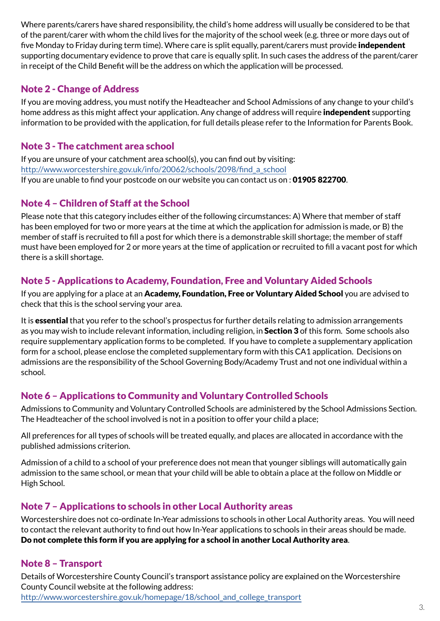Where parents/carers have shared responsibility, the child's home address will usually be considered to be that of the parent/carer with whom the child lives for the majority of the school week (e.g. three or more days out of five Monday to Friday during term time). Where care is split equally, parent/carers must provide **independent** supporting documentary evidence to prove that care is equally split. In such cases the address of the parent/carer in receipt of the Child Benefit will be the address on which the application will be processed.

## Note 2 - Change of Address

If you are moving address, you must notify the Headteacher and School Admissions of any change to your child's home address as this might affect your application. Any change of address will require **independent** supporting information to be provided with the application, for full details please refer to the Information for Parents Book.

### Note 3 - The catchment area school

If you are unsure of your catchment area school(s), you can find out by visiting: [http://www.worcestershire.gov.uk/info/20062/schools/2098/find\\_a\\_school](http://www.worcestershire.gov.uk/info/20062/schools/2098/find_a_school) If you are unable to find your postcode on our website you can contact us on : 01905 822700.

## Note 4 – Children of Staff at the School

Please note that this category includes either of the following circumstances: A) Where that member of staff has been employed for two or more years at the time at which the application for admission is made, or B) the member of staff is recruited to fill a post for which there is a demonstrable skill shortage; the member of staff must have been employed for 2 or more years at the time of application or recruited to fill a vacant post for which there is a skill shortage.

## Note 5 - Applications to Academy, Foundation, Free and Voluntary Aided Schools

If you are applying for a place at an Academy, Foundation, Free or Voluntary Aided School you are advised to check that this is the school serving your area.

It is **essential** that you refer to the school's prospectus for further details relating to admission arrangements as you may wish to include relevant information, including religion, in **Section 3** of this form. Some schools also require supplementary application forms to be completed. If you have to complete a supplementary application form for a school, please enclose the completed supplementary form with this CA1 application. Decisions on admissions are the responsibility of the School Governing Body/Academy Trust and not one individual within a school.

## Note 6 – Applications to Community and Voluntary Controlled Schools

Admissions to Community and Voluntary Controlled Schools are administered by the School Admissions Section. The Headteacher of the school involved is not in a position to offer your child a place;

All preferences for all types of schools will be treated equally, and places are allocated in accordance with the published admissions criterion.

Admission of a child to a school of your preference does not mean that younger siblings will automatically gain admission to the same school, or mean that your child will be able to obtain a place at the follow on Middle or High School.

## Note 7 – Applications to schools in other Local Authority areas

Worcestershire does not co-ordinate In-Year admissions to schools in other Local Authority areas. You will need to contact the relevant authority to find out how In-Year applications to schools in their areas should be made. Do not complete this form if you are applying for a school in another Local Authority area.

## Note 8 – Transport

Details of Worcestershire County Council's transport assistance policy are explained on the Worcestershire County Council website at the following address: [http://www.worcestershire.gov.uk/homepage/18/school\\_and\\_college\\_transport](http://www.worcestershire.gov.uk/homepage/18/school_and_college_transport)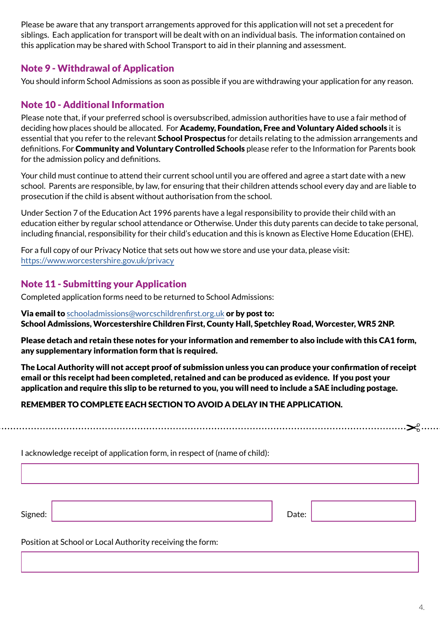Please be aware that any transport arrangements approved for this application will not set a precedent for siblings. Each application for transport will be dealt with on an individual basis. The information contained on this application may be shared with School Transport to aid in their planning and assessment.

#### Note 9 - Withdrawal of Application

You should inform School Admissions as soon as possible if you are withdrawing your application for any reason.

## Note 10 - Additional Information

Please note that, if your preferred school is oversubscribed, admission authorities have to use a fair method of deciding how places should be allocated. For Academy, Foundation, Free and Voluntary Aided schools it is essential that you refer to the relevant **School Prospectus** for details relating to the admission arrangements and definitions. For **Community and Voluntary Controlled Schools** please refer to the Information for Parents book for the admission policy and definitions.

Your child must continue to attend their current school until you are offered and agree a start date with a new school. Parents are responsible, by law, for ensuring that their children attends school every day and are liable to prosecution if the child is absent without authorisation from the school.

Under Section 7 of the Education Act 1996 parents have a legal responsibility to provide their child with an education either by regular school attendance or Otherwise. Under this duty parents can decide to take personal, including financial, responsibility for their child's education and this is known as Elective Home Education (EHE).

For a full copy of our Privacy Notice that sets out how we store and use your data, please visit: <https://www.worcestershire.gov.uk/privacy>

## Note 11 - Submitting your Application

Completed application forms need to be returned to School Admissions:

#### Via email to [schooladmissions@worcschildrenfirst.org.uk](mailto:schooladmissions%40worcschildrenfirst.org.uk?subject=) or by post to: School Admissions, Worcestershire Children First, County Hall, Spetchley Road, Worcester, WR5 2NP.

Please detach and retain these notes for your information and remember to also include with this CA1 form, any supplementary information form that is required.

The Local Authority will not accept proof of submission unless you can produce your confirmation of receipt email or this receipt had been completed, retained and can be produced as evidence. If you post your application and require this slip to be returned to you, you will need to include a SAE including postage.

#### REMEMBER TO COMPLETE EACH SECTION TO AVOID A DELAY IN THE APPLICATION.

I acknowledge receipt of application form, in respect of (name of child):

Signed: No. 2016. In the set of the set of the set of the set of the set of the set of the Date:

Position at School or Local Authority receiving the form: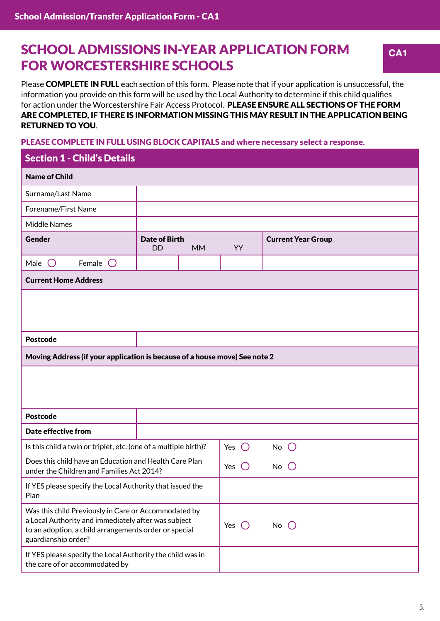# **SCHOOL ADMISSIONS IN-YEAR APPLICATION FORM CA1** FOR WORCESTERSHIRE SCHOOLS

Please COMPLETE IN FULL each section of this form. Please note that if your application is unsuccessful, the information you provide on this form will be used by the Local Authority to determine if this child qualifies for action under the Worcestershire Fair Access Protocol. PLEASE ENSURE ALL SECTIONS OF THE FORM ARE COMPLETED, IF THERE IS INFORMATION MISSING THIS MAY RESULT IN THE APPLICATION BEING RETURNED TO YOU.

#### PLEASE COMPLETE IN FULL USING BLOCK CAPITALS and where necessary select a response.

| <b>Section 1 - Child's Details</b>                                                                                                                                                          |                                   |                               |                   |                           |  |
|---------------------------------------------------------------------------------------------------------------------------------------------------------------------------------------------|-----------------------------------|-------------------------------|-------------------|---------------------------|--|
| <b>Name of Child</b>                                                                                                                                                                        |                                   |                               |                   |                           |  |
| Surname/Last Name                                                                                                                                                                           |                                   |                               |                   |                           |  |
| Forename/First Name                                                                                                                                                                         |                                   |                               |                   |                           |  |
| <b>Middle Names</b>                                                                                                                                                                         |                                   |                               |                   |                           |  |
| Gender                                                                                                                                                                                      | <b>Date of Birth</b><br><b>DD</b> | <b>MM</b>                     | YY                | <b>Current Year Group</b> |  |
| Male<br>Female $\bigcirc$<br>$\left( \begin{array}{c} \end{array} \right)$                                                                                                                  |                                   |                               |                   |                           |  |
| <b>Current Home Address</b>                                                                                                                                                                 |                                   |                               |                   |                           |  |
|                                                                                                                                                                                             |                                   |                               |                   |                           |  |
| <b>Postcode</b>                                                                                                                                                                             |                                   |                               |                   |                           |  |
| Moving Address (if your application is because of a house move) See note 2                                                                                                                  |                                   |                               |                   |                           |  |
|                                                                                                                                                                                             |                                   |                               |                   |                           |  |
| <b>Postcode</b>                                                                                                                                                                             |                                   |                               |                   |                           |  |
| Date effective from                                                                                                                                                                         |                                   |                               |                   |                           |  |
| Is this child a twin or triplet, etc. (one of a multiple birth)?                                                                                                                            |                                   |                               | $\bigcirc$<br>Yes | $No$ $O$                  |  |
| Does this child have an Education and Health Care Plan<br>under the Children and Families Act 2014?                                                                                         |                                   | Yes<br>$\left( \quad \right)$ | No                |                           |  |
| If YES please specify the Local Authority that issued the<br>Plan                                                                                                                           |                                   |                               |                   |                           |  |
| Was this child Previously in Care or Accommodated by<br>a Local Authority and immediately after was subject<br>to an adoption, a child arrangements order or special<br>guardianship order? |                                   | Yes $\bigcirc$                | No $\bigcirc$     |                           |  |
| If YES please specify the Local Authority the child was in<br>the care of or accommodated by                                                                                                |                                   |                               |                   |                           |  |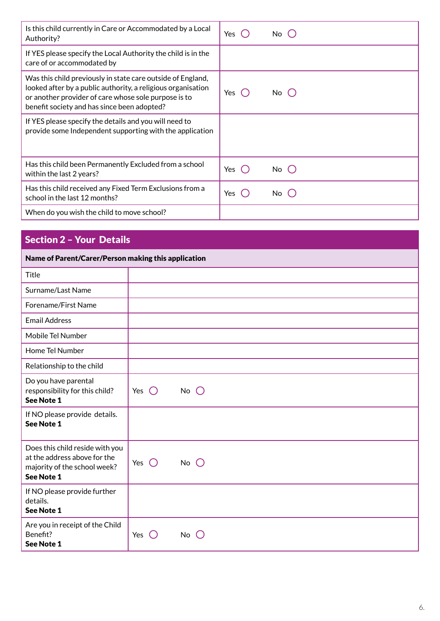| Is this child currently in Care or Accommodated by a Local<br>Authority?                                                                                                                                                           | Yes (<br>No (    |
|------------------------------------------------------------------------------------------------------------------------------------------------------------------------------------------------------------------------------------|------------------|
| If YES please specify the Local Authority the child is in the<br>care of or accommodated by                                                                                                                                        |                  |
| Was this child previously in state care outside of England,<br>looked after by a public authority, a religious organisation<br>or another provider of care whose sole purpose is to<br>benefit society and has since been adopted? | Yes<br>No l      |
| If YES please specify the details and you will need to<br>provide some Independent supporting with the application                                                                                                                 |                  |
| Has this child been Permanently Excluded from a school<br>within the last 2 years?                                                                                                                                                 | Yes ( )<br>No () |
| Has this child received any Fixed Term Exclusions from a<br>school in the last 12 months?                                                                                                                                          | Yes<br>No l      |
| When do you wish the child to move school?                                                                                                                                                                                         |                  |

## Section 2 – Your Details

#### Name of Parent/Carer/Person making this application

| <b>Title</b>                                                                                                  |                |               |  |
|---------------------------------------------------------------------------------------------------------------|----------------|---------------|--|
| Surname/Last Name                                                                                             |                |               |  |
| Forename/First Name                                                                                           |                |               |  |
| <b>Email Address</b>                                                                                          |                |               |  |
| Mobile Tel Number                                                                                             |                |               |  |
| Home Tel Number                                                                                               |                |               |  |
| Relationship to the child                                                                                     |                |               |  |
| Do you have parental<br>responsibility for this child?<br>See Note 1                                          | Yes $\bigcirc$ | $No$ $O$      |  |
| If NO please provide details.<br><b>See Note 1</b>                                                            |                |               |  |
| Does this child reside with you<br>at the address above for the<br>majority of the school week?<br>See Note 1 | Yes $\bigcirc$ | No $\bigcirc$ |  |
| If NO please provide further<br>details.<br><b>See Note 1</b>                                                 |                |               |  |
| Are you in receipt of the Child<br>Benefit?<br>See Note 1                                                     | Yes $\bigcirc$ | No            |  |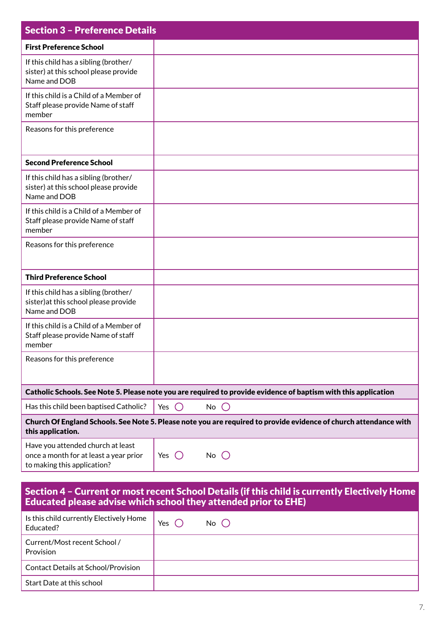| <b>Section 3 - Preference Details</b>                                                                      |                                                                                                                   |
|------------------------------------------------------------------------------------------------------------|-------------------------------------------------------------------------------------------------------------------|
| <b>First Preference School</b>                                                                             |                                                                                                                   |
| If this child has a sibling (brother/<br>sister) at this school please provide<br>Name and DOB             |                                                                                                                   |
| If this child is a Child of a Member of<br>Staff please provide Name of staff<br>member                    |                                                                                                                   |
| Reasons for this preference                                                                                |                                                                                                                   |
| <b>Second Preference School</b>                                                                            |                                                                                                                   |
| If this child has a sibling (brother/<br>sister) at this school please provide<br>Name and DOB             |                                                                                                                   |
| If this child is a Child of a Member of<br>Staff please provide Name of staff<br>member                    |                                                                                                                   |
| Reasons for this preference                                                                                |                                                                                                                   |
| <b>Third Preference School</b>                                                                             |                                                                                                                   |
| If this child has a sibling (brother/<br>sister) at this school please provide<br>Name and DOB             |                                                                                                                   |
| If this child is a Child of a Member of<br>Staff please provide Name of staff<br>member                    |                                                                                                                   |
| Reasons for this preference                                                                                |                                                                                                                   |
|                                                                                                            | Catholic Schools. See Note 5. Please note you are required to provide evidence of baptism with this application   |
| Has this child been baptised Catholic?                                                                     | $\bigcirc$<br>$\bigcirc$<br>No<br>Yes                                                                             |
| this application.                                                                                          | Church Of England Schools. See Note 5. Please note you are required to provide evidence of church attendance with |
| Have you attended church at least<br>once a month for at least a year prior<br>to making this application? | $No$ $()$<br>Yes $()$                                                                                             |
|                                                                                                            |                                                                                                                   |

#### Section 4 – Current or most recent School Details (if this child is currently Electively Home Educated please advise which school they attended prior to EHE)

| Is this child currently Electively Home<br>Educated? | Yes | No $\bigcirc$ |
|------------------------------------------------------|-----|---------------|
| Current/Most recent School /<br>Provision            |     |               |
| <b>Contact Details at School/Provision</b>           |     |               |
| Start Date at this school                            |     |               |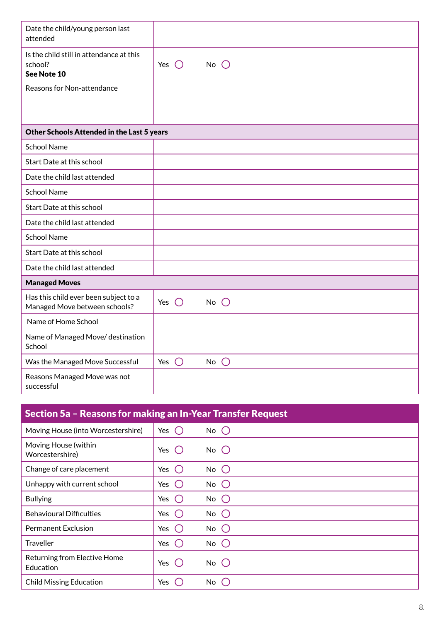| Date the child/young person last<br>attended                           |                                 |
|------------------------------------------------------------------------|---------------------------------|
| Is the child still in attendance at this<br>school?<br>See Note 10     | $No$ $O$<br>$\bigcirc$<br>Yes   |
| Reasons for Non-attendance                                             |                                 |
|                                                                        |                                 |
|                                                                        |                                 |
| Other Schools Attended in the Last 5 years                             |                                 |
| <b>School Name</b>                                                     |                                 |
| Start Date at this school                                              |                                 |
| Date the child last attended                                           |                                 |
| <b>School Name</b>                                                     |                                 |
| Start Date at this school                                              |                                 |
| Date the child last attended                                           |                                 |
| <b>School Name</b>                                                     |                                 |
| Start Date at this school                                              |                                 |
| Date the child last attended                                           |                                 |
| <b>Managed Moves</b>                                                   |                                 |
| Has this child ever been subject to a<br>Managed Move between schools? | Yes $\bigcirc$<br>$No$ $O$      |
| Name of Home School                                                    |                                 |
| Name of Managed Move/ destination<br>School                            |                                 |
| Was the Managed Move Successful                                        | Yes $\bigcirc$<br>No $\bigcirc$ |
| Reasons Managed Move was not<br>successful                             |                                 |
|                                                                        |                                 |
|                                                                        |                                 |

| Section 5a - Reasons for making an In-Year Transfer Request |                   |               |  |  |  |  |
|-------------------------------------------------------------|-------------------|---------------|--|--|--|--|
| Moving House (into Worcestershire)                          | Yes $\bigcirc$    | $No$ $O$      |  |  |  |  |
| Moving House (within<br>Worcestershire)                     | Yes $\bigcirc$    | No $\bigcirc$ |  |  |  |  |
| Change of care placement                                    | Yes $\bigcirc$    | No $\bigcirc$ |  |  |  |  |
| Unhappy with current school                                 | Yes $()$          | No $\bigcirc$ |  |  |  |  |
| <b>Bullying</b>                                             | Yes $\bigcup$     | No $\bigcirc$ |  |  |  |  |
| <b>Behavioural Difficulties</b>                             | Yes $\bigcirc$    | No $\bigcirc$ |  |  |  |  |
| <b>Permanent Exclusion</b>                                  | Yes $\bigcirc$    | No $\bigcirc$ |  |  |  |  |
| <b>Traveller</b>                                            | Yes<br>$\epsilon$ | No $\bigcirc$ |  |  |  |  |
| Returning from Elective Home<br>Education                   | Yes<br>$\left($   | $No$ $O$      |  |  |  |  |
| <b>Child Missing Education</b>                              | Yes               | $No$ $C$      |  |  |  |  |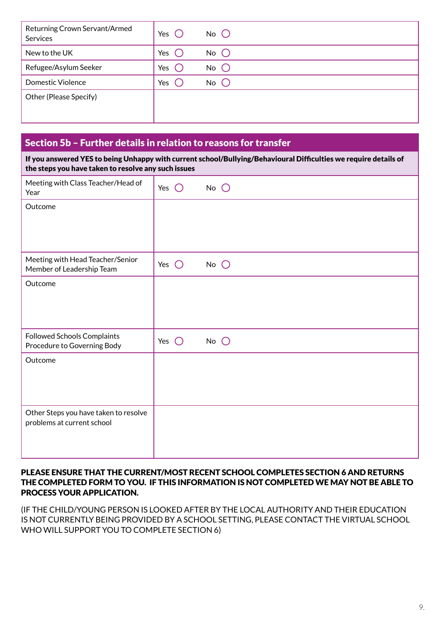| Returning Crown Servant/Armed<br>Services | Yes | $No$ $O$ |
|-------------------------------------------|-----|----------|
| New to the UK                             | Yes | $No$ $O$ |
| Refugee/Asylum Seeker                     | Yes | $No$ $O$ |
| <b>Domestic Violence</b>                  | Yes | $No$ $O$ |
| Other (Please Specify)                    |     |          |
|                                           |     |          |

### Section 5b – Further details in relation to reasons for transfer

If you answered YES to being Unhappy with current school/Bullying/Behavioural Difficulties we require details of the steps you have taken to resolve any such issues

| Meeting with Class Teacher/Head of<br>Year                          | Yes<br>$\left( \begin{array}{c} \end{array} \right)$ | $No$ $O$ |
|---------------------------------------------------------------------|------------------------------------------------------|----------|
| Outcome                                                             |                                                      |          |
|                                                                     |                                                      |          |
| Meeting with Head Teacher/Senior<br>Member of Leadership Team       | Yes $\bigcirc$                                       | $No$ $O$ |
| Outcome                                                             |                                                      |          |
| Followed Schools Complaints<br>Procedure to Governing Body          | $\bigcirc$<br>Yes                                    | $No$ $O$ |
| Outcome                                                             |                                                      |          |
| Other Steps you have taken to resolve<br>problems at current school |                                                      |          |

#### PLEASE ENSURE THAT THE CURRENT/MOST RECENT SCHOOL COMPLETES SECTION 6 AND RETURNS THE COMPLETED FORM TO YOU. IF THIS INFORMATION IS NOT COMPLETED WE MAY NOT BE ABLE TO PROCESS YOUR APPLICATION.

(IF THE CHILD/YOUNG PERSON IS LOOKED AFTER BY THE LOCAL AUTHORITY AND THEIR EDUCATION IS NOT CURRENTLY BEING PROVIDED BY A SCHOOL SETTING, PLEASE CONTACT THE VIRTUAL SCHOOL WHO WILL SUPPORT YOU TO COMPLETE SECTION 6)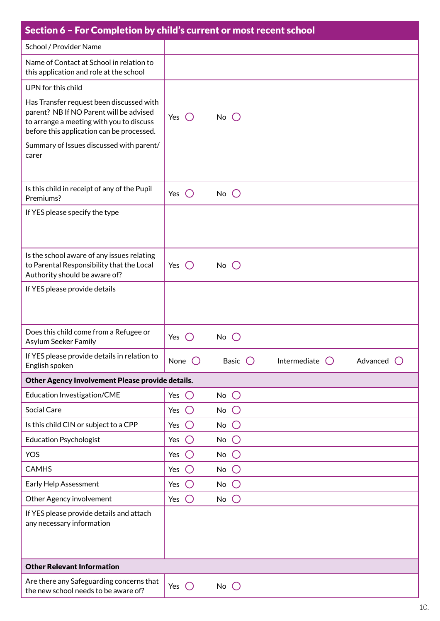| Section 6 - For Completion by child's current or most recent school                                                                                                          |                                                        |                                                       |              |          |
|------------------------------------------------------------------------------------------------------------------------------------------------------------------------------|--------------------------------------------------------|-------------------------------------------------------|--------------|----------|
| School / Provider Name                                                                                                                                                       |                                                        |                                                       |              |          |
| Name of Contact at School in relation to<br>this application and role at the school                                                                                          |                                                        |                                                       |              |          |
| UPN for this child                                                                                                                                                           |                                                        |                                                       |              |          |
| Has Transfer request been discussed with<br>parent? NB If NO Parent will be advised<br>to arrange a meeting with you to discuss<br>before this application can be processed. | Yes $\bigcirc$                                         | No $\bigcirc$                                         |              |          |
| Summary of Issues discussed with parent/<br>carer                                                                                                                            |                                                        |                                                       |              |          |
| Is this child in receipt of any of the Pupil<br>Premiums?                                                                                                                    | Yes $()$                                               | $No$ $O$                                              |              |          |
| If YES please specify the type                                                                                                                                               |                                                        |                                                       |              |          |
| Is the school aware of any issues relating<br>to Parental Responsibility that the Local<br>Authority should be aware of?                                                     | Yes $()$                                               | $No$ $O$                                              |              |          |
| If YES please provide details                                                                                                                                                |                                                        |                                                       |              |          |
| Does this child come from a Refugee or<br>Asylum Seeker Family                                                                                                               | Yes                                                    | $No$ $()$                                             |              |          |
| If YES please provide details in relation to<br>English spoken                                                                                                               | None $\bigcirc$                                        | Basic $\bigcirc$                                      | Intermediate | Advanced |
| Other Agency Involvement Please provide details.                                                                                                                             |                                                        |                                                       |              |          |
| Education Investigation/CME                                                                                                                                                  | $\bigcirc$<br>Yes                                      | $\bigcirc$<br>No                                      |              |          |
| Social Care                                                                                                                                                                  | Yes<br>$\left( \begin{array}{c} \end{array} \right)$   | No<br>$\left( \begin{array}{c} 1 \end{array} \right)$ |              |          |
| Is this child CIN or subject to a CPP                                                                                                                                        | Yes<br>$\left( \begin{array}{c} \end{array} \right)$   | No<br>$\left( \begin{array}{c} 1 \end{array} \right)$ |              |          |
| <b>Education Psychologist</b>                                                                                                                                                | $\bigcirc$<br>Yes                                      | $\bigcirc$<br>No                                      |              |          |
| <b>YOS</b>                                                                                                                                                                   | Yes<br>$(\ )$                                          | No<br>$\left( \right)$                                |              |          |
| <b>CAMHS</b>                                                                                                                                                                 | Yes<br>$\left( \begin{array}{c} \end{array} \right)$   | No<br>$\left( \begin{array}{c} 1 \end{array} \right)$ |              |          |
| Early Help Assessment                                                                                                                                                        | $\bigcirc$<br>Yes                                      | No<br>$\bigcirc$                                      |              |          |
| Other Agency involvement                                                                                                                                                     | Yes<br>$\left( \begin{array}{c} 1 \end{array} \right)$ | No<br>$\left( \right)$                                |              |          |
| If YES please provide details and attach<br>any necessary information                                                                                                        |                                                        |                                                       |              |          |
| <b>Other Relevant Information</b>                                                                                                                                            |                                                        |                                                       |              |          |
| Are there any Safeguarding concerns that<br>the new school needs to be aware of?                                                                                             | Yes $\bigcirc$                                         | No $\bigcirc$                                         |              |          |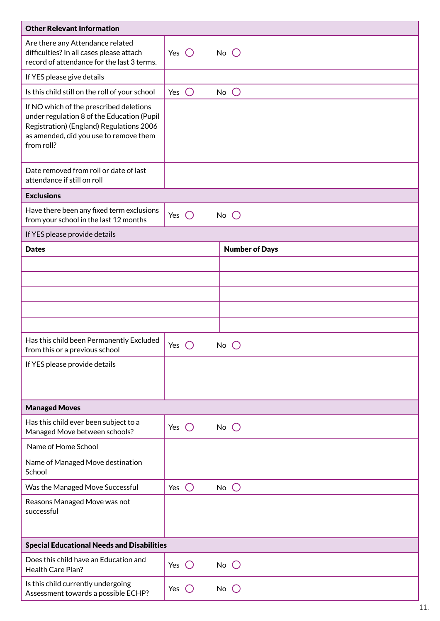| <b>Other Relevant Information</b>                                                                                                                                                         |                |            |               |                       |
|-------------------------------------------------------------------------------------------------------------------------------------------------------------------------------------------|----------------|------------|---------------|-----------------------|
| Are there any Attendance related<br>difficulties? In all cases please attach<br>record of attendance for the last 3 terms.                                                                | Yes $\bigcirc$ |            | No $\bigcirc$ |                       |
| If YES please give details                                                                                                                                                                |                |            |               |                       |
| Is this child still on the roll of your school                                                                                                                                            | Yes            | $\bigcirc$ | No            | $\bigcirc$            |
| If NO which of the prescribed deletions<br>under regulation 8 of the Education (Pupil<br>Registration) (England) Regulations 2006<br>as amended, did you use to remove them<br>from roll? |                |            |               |                       |
| Date removed from roll or date of last<br>attendance if still on roll                                                                                                                     |                |            |               |                       |
| <b>Exclusions</b>                                                                                                                                                                         |                |            |               |                       |
| Have there been any fixed term exclusions<br>from your school in the last 12 months                                                                                                       | Yes $\bigcirc$ |            | $No$ $O$      |                       |
| If YES please provide details                                                                                                                                                             |                |            |               |                       |
| <b>Dates</b>                                                                                                                                                                              |                |            |               | <b>Number of Days</b> |
|                                                                                                                                                                                           |                |            |               |                       |
|                                                                                                                                                                                           |                |            |               |                       |
|                                                                                                                                                                                           |                |            |               |                       |
|                                                                                                                                                                                           |                |            |               |                       |
|                                                                                                                                                                                           |                |            |               |                       |
| Has this child been Permanently Excluded<br>from this or a previous school                                                                                                                | Yes            | $\bigcirc$ | No            |                       |
| If YES please provide details                                                                                                                                                             |                |            |               |                       |
| <b>Managed Moves</b>                                                                                                                                                                      |                |            |               |                       |
| Has this child ever been subject to a<br>Managed Move between schools?                                                                                                                    | Yes $\bigcirc$ |            | No $\bigcirc$ |                       |
| Name of Home School                                                                                                                                                                       |                |            |               |                       |
| Name of Managed Move destination<br>School                                                                                                                                                |                |            |               |                       |
| Was the Managed Move Successful                                                                                                                                                           | Yes $\bigcap$  |            | $No$ $O$      |                       |
| Reasons Managed Move was not<br>successful                                                                                                                                                |                |            |               |                       |
| <b>Special Educational Needs and Disabilities</b>                                                                                                                                         |                |            |               |                       |
| Does this child have an Education and<br>Health Care Plan?                                                                                                                                | Yes $\bigcirc$ |            | $No$ $O$      |                       |
| Is this child currently undergoing<br>Assessment towards a possible ECHP?                                                                                                                 | Yes            | $\bigcirc$ | No $\bigcirc$ |                       |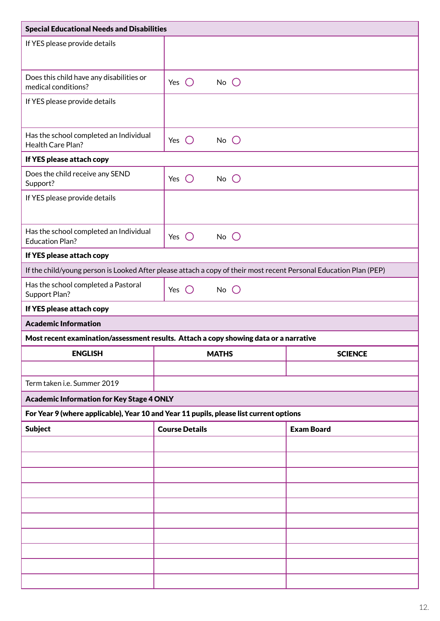| <b>Special Educational Needs and Disabilities</b>                |                                                                                                                   |                   |  |  |  |
|------------------------------------------------------------------|-------------------------------------------------------------------------------------------------------------------|-------------------|--|--|--|
| If YES please provide details                                    |                                                                                                                   |                   |  |  |  |
| Does this child have any disabilities or<br>medical conditions?  | $\bigcirc$<br>Yes<br>$No$ $\bigcirc$                                                                              |                   |  |  |  |
| If YES please provide details                                    |                                                                                                                   |                   |  |  |  |
| Has the school completed an Individual<br>Health Care Plan?      | $No$ $O$<br>Yes $\bigcirc$                                                                                        |                   |  |  |  |
| If YES please attach copy                                        |                                                                                                                   |                   |  |  |  |
| Does the child receive any SEND<br>Support?                      | $\bigcirc$<br>No $\bigcirc$<br>Yes                                                                                |                   |  |  |  |
| If YES please provide details                                    |                                                                                                                   |                   |  |  |  |
| Has the school completed an Individual<br><b>Education Plan?</b> | Yes $\bigcirc$<br>$No$ $O$                                                                                        |                   |  |  |  |
| If YES please attach copy                                        |                                                                                                                   |                   |  |  |  |
|                                                                  | If the child/young person is Looked After please attach a copy of their most recent Personal Education Plan (PEP) |                   |  |  |  |
| Has the school completed a Pastoral<br>Support Plan?             | $No$ $O$<br>Yes $\bigcirc$                                                                                        |                   |  |  |  |
| If YES please attach copy                                        |                                                                                                                   |                   |  |  |  |
| <b>Academic Information</b>                                      |                                                                                                                   |                   |  |  |  |
|                                                                  | Most recent examination/assessment results. Attach a copy showing data or a narrative                             |                   |  |  |  |
| <b>ENGLISH</b><br><b>MATHS</b><br><b>SCIENCE</b>                 |                                                                                                                   |                   |  |  |  |
|                                                                  |                                                                                                                   |                   |  |  |  |
| Term taken i.e. Summer 2019                                      |                                                                                                                   |                   |  |  |  |
| <b>Academic Information for Key Stage 4 ONLY</b>                 |                                                                                                                   |                   |  |  |  |
|                                                                  | For Year 9 (where applicable), Year 10 and Year 11 pupils, please list current options                            |                   |  |  |  |
| <b>Subject</b>                                                   | <b>Course Details</b>                                                                                             | <b>Exam Board</b> |  |  |  |
|                                                                  |                                                                                                                   |                   |  |  |  |
|                                                                  |                                                                                                                   |                   |  |  |  |
|                                                                  |                                                                                                                   |                   |  |  |  |
|                                                                  |                                                                                                                   |                   |  |  |  |
|                                                                  |                                                                                                                   |                   |  |  |  |
|                                                                  |                                                                                                                   |                   |  |  |  |
|                                                                  |                                                                                                                   |                   |  |  |  |
|                                                                  |                                                                                                                   |                   |  |  |  |
|                                                                  |                                                                                                                   |                   |  |  |  |
|                                                                  |                                                                                                                   |                   |  |  |  |